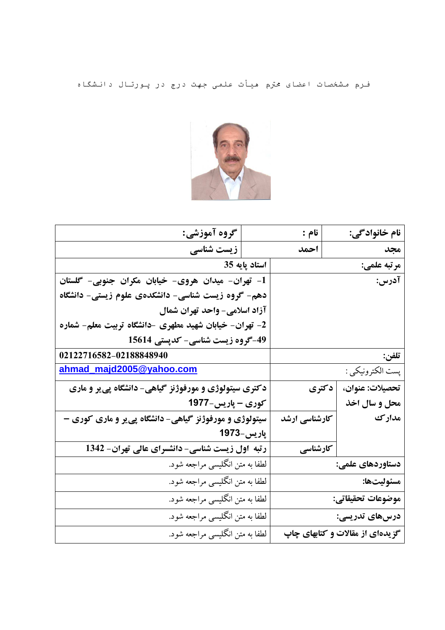فـرم مشخصات اعضای محترم هیأت علمی جهت درج در پـورتـال دانـشگـاه



| نام خانواد گي:                  | نام :         |                                 | گروه آموزشي:                                           |  |
|---------------------------------|---------------|---------------------------------|--------------------------------------------------------|--|
| مجد                             | احمد          |                                 | زیست شناسی                                             |  |
| مرتبه علمي:                     |               | استاد پایه 35                   |                                                        |  |
| آدرس:                           |               |                                 | 1- تهران- میدان هروی- خیابان مکران جنوبی- گلستان       |  |
|                                 |               |                                 | دهم- گروه زیست شناسی- دانشکدهی علوم زیستی- دانشگاه     |  |
|                                 |               |                                 | آزاد اسلامی- واحد تهران شمال                           |  |
|                                 |               |                                 | 2- تهران- خیابان شهید مطهری -دانشگاه تربیت معلم- شماره |  |
|                                 |               |                                 | 49-گروه زیست شناسی- کدپستی 15614                       |  |
| تلفن:                           |               |                                 | 02122716582-02188848940                                |  |
| پست الكترونيكي :                |               | ahmad_majd2005@yahoo.com        |                                                        |  |
| تحصيلات: عنوان،                 | دکتری         |                                 | دکتری سیتولوژی و مورفوژنز گیاهی- دانشگاه پی یر و ماری  |  |
| محل و سال اخذ                   |               |                                 | کوری - پاریس-1977                                      |  |
| مدارك                           | کارشناسی ارشد |                                 | سیتولوژی و مورفوژنز گیاهی- دانشگاه پی یر و ماری کوری - |  |
|                                 |               | پارىس–1973                      |                                                        |  |
|                                 | کارشناسی      |                                 | رتبه اول زیست شناسی- دانشسرای عالی تهران- 1342         |  |
| دستاوردهای علمی:                |               |                                 | لطفا به متن انگلیسی مراجعه شود.                        |  |
| مسئوليتها:                      |               | لطفا به متن انگلیسی مراجعه شود. |                                                        |  |
| موضوعات تحقيقاتي:               |               | لطفا به متن انگلیسی مراجعه شود. |                                                        |  |
| درسهای تدریسی:                  |               | لطفا به متن انگلیسی مراجعه شود. |                                                        |  |
| گزیدهای از مقالات و کتابهای چاپ |               | لطفا به متن انگلیسی مراجعه شود. |                                                        |  |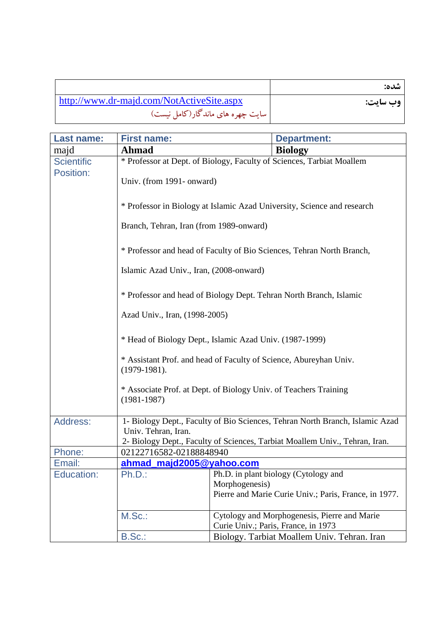|                                           | شده:     |
|-------------------------------------------|----------|
| http://www.dr-majd.com/NotActiveSite.aspx | وب سايت: |
| سایت چهره های ماندگار(کامل نیست)          |          |

| <b>Last name:</b> | <b>First name:</b>                                                                  |                | <b>Department:</b>                                                                  |
|-------------------|-------------------------------------------------------------------------------------|----------------|-------------------------------------------------------------------------------------|
| majd              | <b>Ahmad</b>                                                                        |                | <b>Biology</b>                                                                      |
| <b>Scientific</b> | * Professor at Dept. of Biology, Faculty of Sciences, Tarbiat Moallem               |                |                                                                                     |
| Position:         | Univ. (from 1991-onward)                                                            |                |                                                                                     |
|                   | * Professor in Biology at Islamic Azad University, Science and research             |                |                                                                                     |
|                   | Branch, Tehran, Iran (from 1989-onward)                                             |                |                                                                                     |
|                   | * Professor and head of Faculty of Bio Sciences, Tehran North Branch,               |                |                                                                                     |
|                   | Islamic Azad Univ., Iran, (2008-onward)                                             |                |                                                                                     |
|                   | * Professor and head of Biology Dept. Tehran North Branch, Islamic                  |                |                                                                                     |
|                   | Azad Univ., Iran, (1998-2005)                                                       |                |                                                                                     |
|                   | * Head of Biology Dept., Islamic Azad Univ. (1987-1999)                             |                |                                                                                     |
|                   | * Assistant Prof. and head of Faculty of Science, Abureyhan Univ.<br>$(1979-1981).$ |                |                                                                                     |
|                   | * Associate Prof. at Dept. of Biology Univ. of Teachers Training<br>$(1981 - 1987)$ |                |                                                                                     |
| Address:          |                                                                                     |                | 1- Biology Dept., Faculty of Bio Sciences, Tehran North Branch, Islamic Azad        |
|                   | Univ. Tehran, Iran.                                                                 |                |                                                                                     |
|                   |                                                                                     |                | 2- Biology Dept., Faculty of Sciences, Tarbiat Moallem Univ., Tehran, Iran.         |
| Phone:            | 02122716582-02188848940                                                             |                |                                                                                     |
| Email:            | ahmad majd2005@yahoo.com                                                            |                |                                                                                     |
| <b>Education:</b> | $Ph.D.$ :                                                                           |                | Ph.D. in plant biology (Cytology and                                                |
|                   |                                                                                     | Morphogenesis) | Pierre and Marie Curie Univ.; Paris, France, in 1977.                               |
|                   | M.Sc.:                                                                              |                | Cytology and Morphogenesis, Pierre and Marie<br>Curie Univ.; Paris, France, in 1973 |
|                   | B.Sc.:                                                                              |                | Biology. Tarbiat Moallem Univ. Tehran. Iran                                         |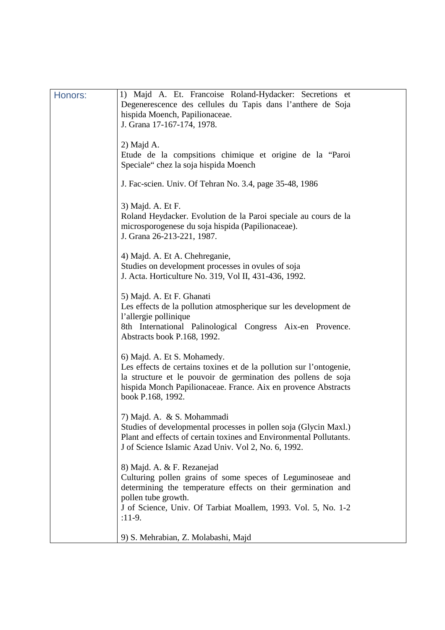| Honors: | 1) Majd A. Et. Francoise Roland-Hydacker: Secretions et<br>Degenerescence des cellules du Tapis dans l'anthere de Soja<br>hispida Moench, Papilionaceae.<br>J. Grana 17-167-174, 1978.                                                                       |
|---------|--------------------------------------------------------------------------------------------------------------------------------------------------------------------------------------------------------------------------------------------------------------|
|         | $2)$ Majd A.<br>Etude de la compsitions chimique et origine de la "Paroi<br>Speciale" chez la soja hispida Moench                                                                                                                                            |
|         | J. Fac-scien. Univ. Of Tehran No. 3.4, page 35-48, 1986                                                                                                                                                                                                      |
|         | 3) Majd. A. Et F.<br>Roland Heydacker. Evolution de la Paroi speciale au cours de la<br>microsporogenese du soja hispida (Papilionaceae).<br>J. Grana 26-213-221, 1987.                                                                                      |
|         | 4) Majd. A. Et A. Chehreganie,<br>Studies on development processes in ovules of soja<br>J. Acta. Horticulture No. 319, Vol II, 431-436, 1992.                                                                                                                |
|         | 5) Majd. A. Et F. Ghanati<br>Les effects de la pollution atmospherique sur les development de<br>l'allergie pollinique<br>8th International Palinological Congress Aix-en Provence.<br>Abstracts book P.168, 1992.                                           |
|         | 6) Majd. A. Et S. Mohamedy.<br>Les effects de certains toxines et de la pollution sur l'ontogenie,<br>la structure et le pouvoir de germination des pollens de soja<br>hispida Monch Papilionaceae. France. Aix en provence Abstracts<br>book P.168, 1992.   |
|         | 7) Majd. A. & S. Mohammadi<br>Studies of developmental processes in pollen soja (Glycin Maxl.)<br>Plant and effects of certain toxines and Environmental Pollutants.<br>J of Science Islamic Azad Univ. Vol 2, No. 6, 1992.                                  |
|         | 8) Majd. A. & F. Rezanejad<br>Culturing pollen grains of some speces of Leguminoseae and<br>determining the temperature effects on their germination and<br>pollen tube growth.<br>J of Science, Univ. Of Tarbiat Moallem, 1993. Vol. 5, No. 1-2<br>$:11-9.$ |
|         | 9) S. Mehrabian, Z. Molabashi, Majd                                                                                                                                                                                                                          |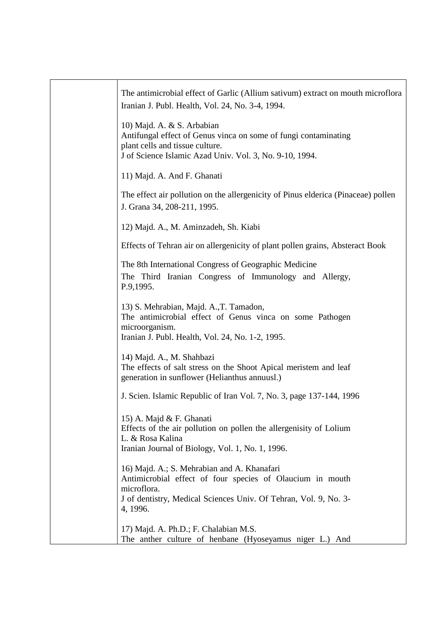| The antimicrobial effect of Garlic (Allium sativum) extract on mouth microflora<br>Iranian J. Publ. Health, Vol. 24, No. 3-4, 1994.                                                                     |
|---------------------------------------------------------------------------------------------------------------------------------------------------------------------------------------------------------|
| 10) Majd. A. & S. Arbabian<br>Antifungal effect of Genus vinca on some of fungi contaminating<br>plant cells and tissue culture.<br>J of Science Islamic Azad Univ. Vol. 3, No. 9-10, 1994.             |
| 11) Majd. A. And F. Ghanati                                                                                                                                                                             |
| The effect air pollution on the allergenicity of Pinus elderica (Pinaceae) pollen<br>J. Grana 34, 208-211, 1995.                                                                                        |
| 12) Majd. A., M. Aminzadeh, Sh. Kiabi                                                                                                                                                                   |
| Effects of Tehran air on allergenicity of plant pollen grains, Absteract Book                                                                                                                           |
| The 8th International Congress of Geographic Medicine<br>The Third Iranian Congress of Immunology and Allergy,<br>P.9,1995.                                                                             |
| 13) S. Mehrabian, Majd. A., T. Tamadon,<br>The antimicrobial effect of Genus vinca on some Pathogen<br>microorganism.<br>Iranian J. Publ. Health, Vol. 24, No. 1-2, 1995.                               |
| 14) Majd. A., M. Shahbazi<br>The effects of salt stress on the Shoot Apical meristem and leaf<br>generation in sunflower (Helianthus annuusl.)                                                          |
| J. Scien. Islamic Republic of Iran Vol. 7, No. 3, page 137-144, 1996                                                                                                                                    |
| 15) A. Majd & F. Ghanati<br>Effects of the air pollution on pollen the allergenisity of Lolium<br>L. & Rosa Kalina<br>Iranian Journal of Biology, Vol. 1, No. 1, 1996.                                  |
| 16) Majd. A.; S. Mehrabian and A. Khanafari<br>Antimicrobial effect of four species of Olaucium in mouth<br>microflora.<br>J of dentistry, Medical Sciences Univ. Of Tehran, Vol. 9, No. 3-<br>4, 1996. |
| 17) Majd. A. Ph.D.; F. Chalabian M.S.<br>The anther culture of henbane (Hyoseyamus niger L.) And                                                                                                        |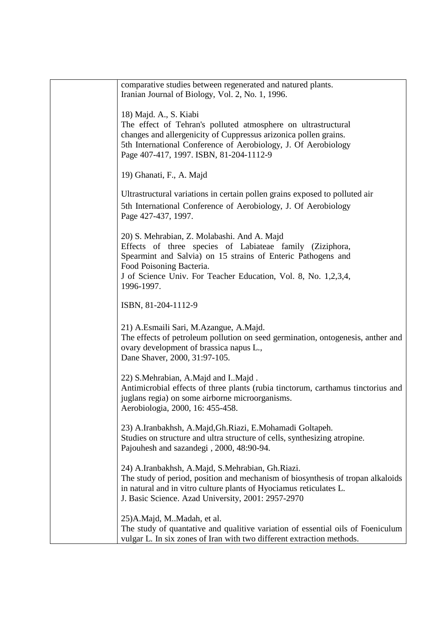| comparative studies between regenerated and natured plants.<br>Iranian Journal of Biology, Vol. 2, No. 1, 1996.                                                                                                                                                                     |
|-------------------------------------------------------------------------------------------------------------------------------------------------------------------------------------------------------------------------------------------------------------------------------------|
| 18) Majd. A., S. Kiabi<br>The effect of Tehran's polluted atmosphere on ultrastructural<br>changes and allergenicity of Cuppressus arizonica pollen grains.<br>5th International Conference of Aerobiology, J. Of Aerobiology<br>Page 407-417, 1997. ISBN, 81-204-1112-9            |
| 19) Ghanati, F., A. Majd                                                                                                                                                                                                                                                            |
| Ultrastructural variations in certain pollen grains exposed to polluted air<br>5th International Conference of Aerobiology, J. Of Aerobiology<br>Page 427-437, 1997.                                                                                                                |
| 20) S. Mehrabian, Z. Molabashi. And A. Majd<br>Effects of three species of Labiateae family (Ziziphora,<br>Spearmint and Salvia) on 15 strains of Enteric Pathogens and<br>Food Poisoning Bacteria.<br>J of Science Univ. For Teacher Education, Vol. 8, No. 1,2,3,4,<br>1996-1997. |
| ISBN, 81-204-1112-9                                                                                                                                                                                                                                                                 |
| 21) A.Esmaili Sari, M.Azangue, A.Majd.<br>The effects of petroleum pollution on seed germination, ontogenesis, anther and<br>ovary development of brassica napus L.,<br>Dane Shaver, 2000, 31:97-105.                                                                               |
| 22) S.Mehrabian, A.Majd and IMajd.<br>Antimicrobial effects of three plants (rubia tinctorum, carthamus tinctorius and<br>juglans regia) on some airborne microorganisms.<br>Aerobiologia, 2000, 16: 455-458.                                                                       |
| 23) A.Iranbakhsh, A.Majd, Gh.Riazi, E.Mohamadi Goltapeh.<br>Studies on structure and ultra structure of cells, synthesizing atropine.<br>Pajouhesh and sazandegi, 2000, 48:90-94.                                                                                                   |
| 24) A.Iranbakhsh, A.Majd, S.Mehrabian, Gh.Riazi.<br>The study of period, position and mechanism of biosynthesis of tropan alkaloids<br>in natural and in vitro culture plants of Hyociamus reticulates L.<br>J. Basic Science. Azad University, 2001: 2957-2970                     |
| 25) A.Majd, MMadah, et al.<br>The study of quantative and qualitive variation of essential oils of Foeniculum<br>vulgar L. In six zones of Iran with two different extraction methods.                                                                                              |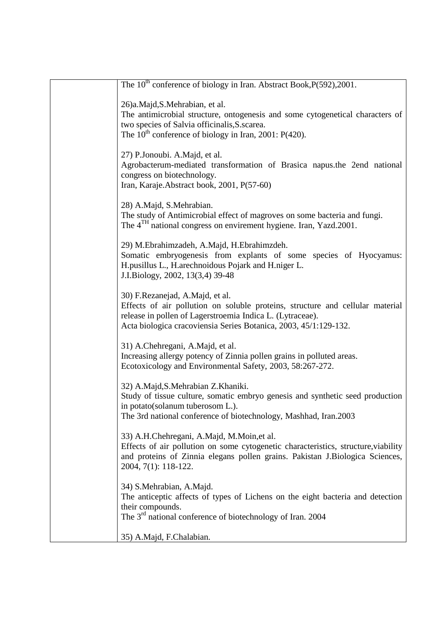| The 10 <sup>th</sup> conference of biology in Iran. Abstract Book, P(592), 2001.                                                                                                                                                                  |
|---------------------------------------------------------------------------------------------------------------------------------------------------------------------------------------------------------------------------------------------------|
| 26)a.Majd,S.Mehrabian, et al.<br>The antimicrobial structure, ontogenesis and some cytogenetical characters of<br>two species of Salvia officinalis, S. scarea.<br>The $10^{th}$ conference of biology in Iran, 2001: P(420).                     |
| 27) P.Jonoubi. A.Majd, et al.<br>Agrobacterum-mediated transformation of Brasica napus.the 2end national<br>congress on biotechnology.<br>Iran, Karaje. Abstract book, 2001, P(57-60)                                                             |
| 28) A.Majd, S.Mehrabian.<br>The study of Antimicrobial effect of magroves on some bacteria and fungi.<br>The 4 <sup>TH</sup> national congress on envirement hygiene. Iran, Yazd.2001.                                                            |
| 29) M.Ebrahimzadeh, A.Majd, H.Ebrahimzdeh.<br>Somatic embryogenesis from explants of some species of Hyocyamus:<br>H.pusillus L., H.arechnoidous Pojark and H.niger L.<br>J.I.Biology, 2002, 13(3,4) 39-48                                        |
| 30) F.Rezanejad, A.Majd, et al.<br>Effects of air pollution on soluble proteins, structure and cellular material<br>release in pollen of Lagerstroemia Indica L. (Lytraceae).<br>Acta biologica cracoviensia Series Botanica, 2003, 45/1:129-132. |
| 31) A.Chehregani, A.Majd, et al.<br>Increasing allergy potency of Zinnia pollen grains in polluted areas.<br>Ecotoxicology and Environmental Safety, 2003, 58:267-272.                                                                            |
| 32) A.Majd, S.Mehrabian Z.Khaniki.<br>Study of tissue culture, somatic embryo genesis and synthetic seed production<br>in potato (solanum tuberosom L.).<br>The 3rd national conference of biotechnology, Mashhad, Iran.2003                      |
| 33) A.H.Chehregani, A.Majd, M.Moin, et al.<br>Effects of air pollution on some cytogenetic characteristics, structure, viability<br>and proteins of Zinnia elegans pollen grains. Pakistan J.Biologica Sciences,<br>2004, 7(1): 118-122.          |
| 34) S.Mehrabian, A.Majd.<br>The anticeptic affects of types of Lichens on the eight bacteria and detection<br>their compounds.<br>The 3 <sup>rd</sup> national conference of biotechnology of Iran. 2004                                          |
| 35) A.Majd, F.Chalabian.                                                                                                                                                                                                                          |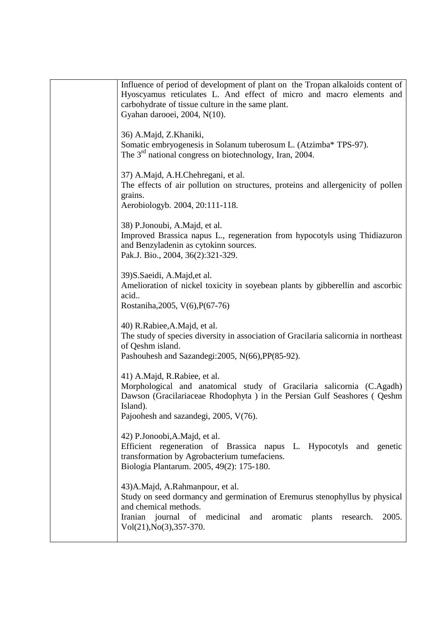| Influence of period of development of plant on the Tropan alkaloids content of<br>Hyoscyamus reticulates L. And effect of micro and macro elements and<br>carbohydrate of tissue culture in the same plant.<br>Gyahan darooei, 2004, N(10).              |
|----------------------------------------------------------------------------------------------------------------------------------------------------------------------------------------------------------------------------------------------------------|
| 36) A.Majd, Z.Khaniki,<br>Somatic embryogenesis in Solanum tuberosum L. (Atzimba* TPS-97).<br>The $3rd$ national congress on biotechnology, Iran, 2004.                                                                                                  |
| 37) A.Majd, A.H.Chehregani, et al.<br>The effects of air pollution on structures, proteins and allergenicity of pollen<br>grains.<br>Aerobiologyb. 2004, 20:111-118.                                                                                     |
| 38) P.Jonoubi, A.Majd, et al.<br>Improved Brassica napus L., regeneration from hypocotyls using Thidiazuron<br>and Benzyladenin as cytokinn sources.<br>Pak.J. Bio., 2004, 36(2):321-329.                                                                |
| 39) S. Saeidi, A. Majd, et al.<br>Amelioration of nickel toxicity in soyebean plants by gibberellin and ascorbic<br>acid<br>Rostaniha, 2005, V(6), P(67-76)                                                                                              |
| 40) R.Rabiee, A.Majd, et al.<br>The study of species diversity in association of Gracilaria salicornia in northeast<br>of Qeshm island.<br>Pashouhesh and Sazandegi: 2005, N(66), PP(85-92).                                                             |
| 41) A.Majd, R.Rabiee, et al.<br>Morphological and anatomical study of Gracilaria salicornia (C.Agadh)<br>Dawson (Gracilariaceae Rhodophyta) in the Persian Gulf Seashores (Qeshm<br>Island).<br>Pajoohesh and sazandegi, 2005, V(76).                    |
| 42) P.Jonoobi, A.Majd, et al.<br>Efficient regeneration of Brassica napus L. Hypocotyls and genetic<br>transformation by Agrobacterium tumefaciens.<br>Biologia Plantarum. 2005, 49(2): 175-180.                                                         |
| 43) A. Majd, A. Rahmanpour, et al.<br>Study on seed dormancy and germination of Eremurus stenophyllus by physical<br>and chemical methods.<br>Iranian journal of medicinal<br>aromatic plants<br>2005.<br>and<br>research.<br>$Vol(21), No(3), 357-370.$ |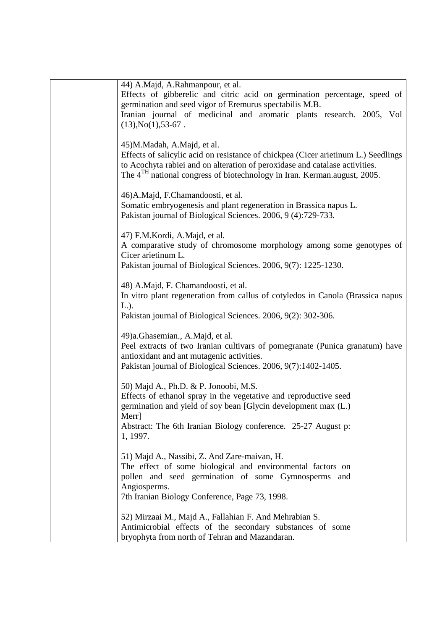| 44) A.Majd, A.Rahmanpour, et al.                                                     |
|--------------------------------------------------------------------------------------|
| Effects of gibberelic and citric acid on germination percentage, speed of            |
| germination and seed vigor of Eremurus spectabilis M.B.                              |
| Iranian journal of medicinal and aromatic plants research. 2005, Vol                 |
| $(13), No(1), 53-67.$                                                                |
|                                                                                      |
| 45)M.Madah, A.Majd, et al.                                                           |
| Effects of salicylic acid on resistance of chickpea (Cicer arietinum L.) Seedlings   |
| to Acochyta rabiei and on alteration of peroxidase and catalase activities.          |
| The 4 <sup>TH</sup> national congress of biotechnology in Iran. Kerman.august, 2005. |
|                                                                                      |
| 46) A. Majd, F. Chamandoosti, et al.                                                 |
| Somatic embryogenesis and plant regeneration in Brassica napus L.                    |
| Pakistan journal of Biological Sciences. 2006, 9 (4):729-733.                        |
|                                                                                      |
| 47) F.M.Kordi, A.Majd, et al.                                                        |
| A comparative study of chromosome morphology among some genotypes of                 |
| Cicer arietinum L.                                                                   |
| Pakistan journal of Biological Sciences. 2006, 9(7): 1225-1230.                      |
|                                                                                      |
| 48) A.Majd, F. Chamandoosti, et al.                                                  |
| In vitro plant regeneration from callus of cotyledos in Canola (Brassica napus       |
| $L.$ ).                                                                              |
| Pakistan journal of Biological Sciences. 2006, 9(2): 302-306.                        |
|                                                                                      |
| 49)a.Ghasemian., A.Majd, et al.                                                      |
| Peel extracts of two Iranian cultivars of pomegranate (Punica granatum) have         |
| antioxidant and ant mutagenic activities.                                            |
| Pakistan journal of Biological Sciences. 2006, 9(7):1402-1405.                       |
|                                                                                      |
| 50) Majd A., Ph.D. & P. Jonoobi, M.S.                                                |
| Effects of ethanol spray in the vegetative and reproductive seed                     |
| germination and yield of soy bean [Glycin development max (L.)                       |
| Merr                                                                                 |
| Abstract: The 6th Iranian Biology conference. 25-27 August p:                        |
| 1, 1997.                                                                             |
| 51) Majd A., Nassibi, Z. And Zare-maivan, H.                                         |
| The effect of some biological and environmental factors on                           |
| pollen and seed germination of some Gymnosperms and                                  |
| Angiosperms.                                                                         |
| 7th Iranian Biology Conference, Page 73, 1998.                                       |
|                                                                                      |
| 52) Mirzaai M., Majd A., Fallahian F. And Mehrabian S.                               |
| Antimicrobial effects of the secondary substances of some                            |
| bryophyta from north of Tehran and Mazandaran.                                       |
|                                                                                      |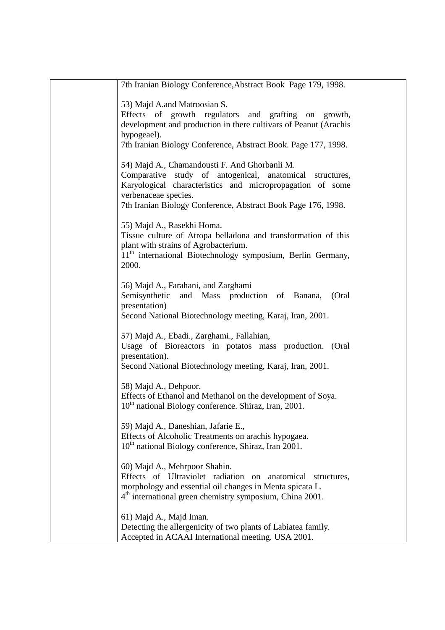| 7th Iranian Biology Conference, Abstract Book Page 179, 1998.                                                                                                                                                                                                   |
|-----------------------------------------------------------------------------------------------------------------------------------------------------------------------------------------------------------------------------------------------------------------|
| 53) Majd A.and Matroosian S.<br>Effects of growth regulators and grafting on growth,<br>development and production in there cultivars of Peanut (Arachis<br>hypogeael).<br>7th Iranian Biology Conference, Abstract Book. Page 177, 1998.                       |
| 54) Majd A., Chamandousti F. And Ghorbanli M.<br>Comparative study of antogenical, anatomical structures,<br>Karyological characteristics and micropropagation of some<br>verbenaceae species.<br>7th Iranian Biology Conference, Abstract Book Page 176, 1998. |
| 55) Majd A., Rasekhi Homa.<br>Tissue culture of Atropa belladona and transformation of this<br>plant with strains of Agrobacterium.<br>11 <sup>th</sup> international Biotechnology symposium, Berlin Germany,<br>2000.                                         |
| 56) Majd A., Farahani, and Zarghami<br>Semisynthetic<br>and Mass production of Banana,<br>(Oral<br>presentation)<br>Second National Biotechnology meeting, Karaj, Iran, 2001.                                                                                   |
| 57) Majd A., Ebadi., Zarghami., Fallahian,<br>Usage of Bioreactors in potatos mass production. (Oral<br>presentation).<br>Second National Biotechnology meeting, Karaj, Iran, 2001.                                                                             |
| 58) Majd A., Dehpoor.<br>Effects of Ethanol and Methanol on the development of Soya.<br>10 <sup>th</sup> national Biology conference. Shiraz, Iran, 2001.                                                                                                       |
| 59) Majd A., Daneshian, Jafarie E.,<br>Effects of Alcoholic Treatments on arachis hypogaea.<br>10 <sup>th</sup> national Biology conference, Shiraz, Iran 2001.                                                                                                 |
| 60) Majd A., Mehrpoor Shahin.<br>Effects of Ultraviolet radiation on anatomical structures,<br>morphology and essential oil changes in Menta spicata L.<br>4 <sup>th</sup> international green chemistry symposium, China 2001.                                 |
| 61) Majd A., Majd Iman.<br>Detecting the allergenicity of two plants of Labiatea family.<br>Accepted in ACAAI International meeting. USA 2001.                                                                                                                  |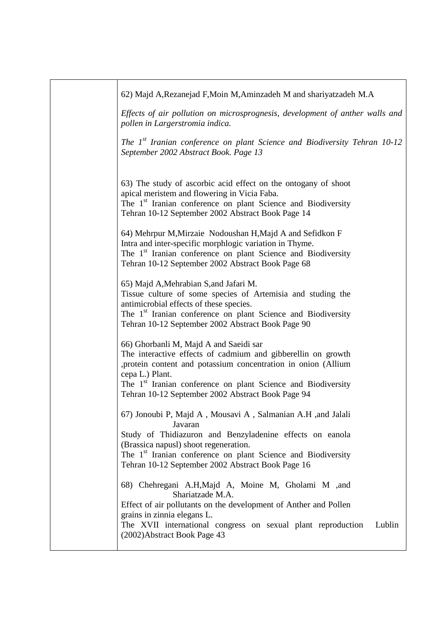| 62) Majd A, Rezanejad F, Moin M, Aminzadeh M and shariyatzadeh M.A                                                                                                                                                                                                                                                           |
|------------------------------------------------------------------------------------------------------------------------------------------------------------------------------------------------------------------------------------------------------------------------------------------------------------------------------|
| Effects of air pollution on microsprognesis, development of anther walls and<br>pollen in Largerstromia indica.                                                                                                                                                                                                              |
| The 1 <sup>st</sup> Iranian conference on plant Science and Biodiversity Tehran 10-12<br>September 2002 Abstract Book. Page 13                                                                                                                                                                                               |
| 63) The study of ascorbic acid effect on the ontogany of shoot<br>apical meristem and flowering in Vicia Faba.<br>The 1 <sup>st</sup> Iranian conference on plant Science and Biodiversity<br>Tehran 10-12 September 2002 Abstract Book Page 14                                                                              |
| 64) Mehrpur M, Mirzaie Nodoushan H, Majd A and Sefidkon F<br>Intra and inter-specific morphlogic variation in Thyme.<br>The 1 <sup>st</sup> Iranian conference on plant Science and Biodiversity<br>Tehran 10-12 September 2002 Abstract Book Page 68                                                                        |
| 65) Majd A, Mehrabian S, and Jafari M.<br>Tissue culture of some species of Artemisia and studing the<br>antimicrobial effects of these species.<br>The 1 <sup>st</sup> Iranian conference on plant Science and Biodiversity<br>Tehran 10-12 September 2002 Abstract Book Page 90                                            |
| 66) Ghorbanli M, Majd A and Saeidi sar<br>The interactive effects of cadmium and gibberellin on growth<br>, protein content and potassium concentration in onion (Allium<br>cepa L.) Plant.<br>The 1 <sup>st</sup> Iranian conference on plant Science and Biodiversity<br>Tehran 10-12 September 2002 Abstract Book Page 94 |
| 67) Jonoubi P, Majd A, Mousavi A, Salmanian A.H ,and Jalali<br>Javaran<br>Study of Thidiazuron and Benzyladenine effects on eanola<br>(Brassica napusl) shoot regeneration.<br>The 1 <sup>st</sup> Iranian conference on plant Science and Biodiversity<br>Tehran 10-12 September 2002 Abstract Book Page 16                 |
| 68) Chehregani A.H, Majd A, Moine M, Gholami M , and<br>Shariatzade M.A.<br>Effect of air pollutants on the development of Anther and Pollen<br>grains in zinnia elegans L.<br>The XVII international congress on sexual plant reproduction<br>Lublin<br>(2002) Abstract Book Page 43                                        |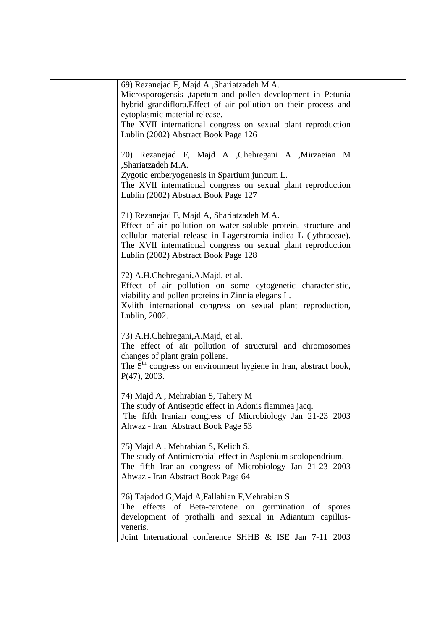| 69) Rezanejad F, Majd A , Shariatzadeh M.A.                                                                                                                                                                                                                                               |
|-------------------------------------------------------------------------------------------------------------------------------------------------------------------------------------------------------------------------------------------------------------------------------------------|
| Microsporogensis ,tapetum and pollen development in Petunia                                                                                                                                                                                                                               |
| hybrid grandiflora. Effect of air pollution on their process and                                                                                                                                                                                                                          |
| eytoplasmic material release.                                                                                                                                                                                                                                                             |
| The XVII international congress on sexual plant reproduction                                                                                                                                                                                                                              |
| Lublin (2002) Abstract Book Page 126                                                                                                                                                                                                                                                      |
| 70) Rezanejad F, Majd A , Chehregani A , Mirzaeian M<br>,Shariatzadeh M.A.<br>Zygotic emberyogenesis in Spartium juncum L.<br>The XVII international congress on sexual plant reproduction                                                                                                |
| Lublin (2002) Abstract Book Page 127                                                                                                                                                                                                                                                      |
|                                                                                                                                                                                                                                                                                           |
| 71) Rezanejad F, Majd A, Shariatzadeh M.A.<br>Effect of air pollution on water soluble protein, structure and<br>cellular material release in Lagerstromia indica L (lythraceae).<br>The XVII international congress on sexual plant reproduction<br>Lublin (2002) Abstract Book Page 128 |
| 72) A.H.Chehregani, A.Majd, et al.<br>Effect of air pollution on some cytogenetic characteristic,<br>viability and pollen proteins in Zinnia elegans L.<br>Xviith international congress on sexual plant reproduction,<br>Lublin, 2002.                                                   |
| 73) A.H.Chehregani, A.Majd, et al.<br>The effect of air pollution of structural and chromosomes<br>changes of plant grain pollens.<br>The 5 <sup>th</sup> congress on environment hygiene in Iran, abstract book,<br>P(47), 2003.                                                         |
| 74) Majd A, Mehrabian S, Tahery M<br>The study of Antiseptic effect in Adonis flammea jacq.<br>The fifth Iranian congress of Microbiology Jan 21-23 2003<br>Ahwaz - Iran Abstract Book Page 53                                                                                            |
| 75) Majd A, Mehrabian S, Kelich S.<br>The study of Antimicrobial effect in Asplenium scolopendrium.<br>The fifth Iranian congress of Microbiology Jan 21-23 2003<br>Ahwaz - Iran Abstract Book Page 64                                                                                    |
| 76) Tajadod G, Majd A, Fallahian F, Mehrabian S.<br>The effects of Beta-carotene on germination of spores<br>development of prothalli and sexual in Adiantum capillus-<br>veneris.<br>Joint International conference SHHB & ISE Jan 7-11 2003                                             |
|                                                                                                                                                                                                                                                                                           |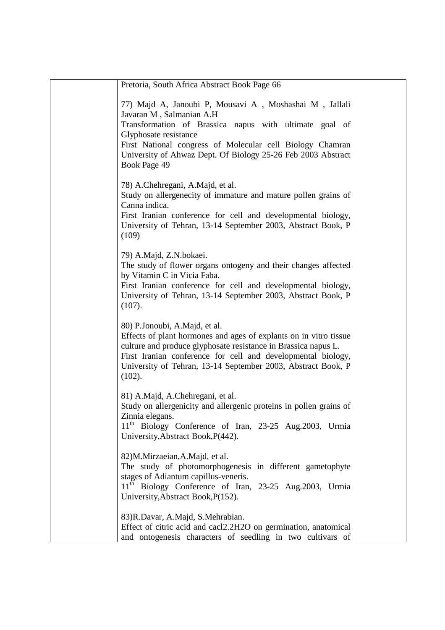| Pretoria, South Africa Abstract Book Page 66                                                                                                                                                                                                                                                                       |
|--------------------------------------------------------------------------------------------------------------------------------------------------------------------------------------------------------------------------------------------------------------------------------------------------------------------|
| 77) Majd A, Janoubi P, Mousavi A, Moshashai M, Jallali<br>Javaran M, Salmanian A.H<br>Transformation of Brassica napus with ultimate goal of<br>Glyphosate resistance<br>First National congress of Molecular cell Biology Chamran<br>University of Ahwaz Dept. Of Biology 25-26 Feb 2003 Abstract<br>Book Page 49 |
| 78) A.Chehregani, A.Majd, et al.<br>Study on allergenecity of immature and mature pollen grains of<br>Canna indica.<br>First Iranian conference for cell and developmental biology,<br>University of Tehran, 13-14 September 2003, Abstract Book, P<br>(109)                                                       |
| 79) A.Majd, Z.N.bokaei.<br>The study of flower organs ontogeny and their changes affected<br>by Vitamin C in Vicia Faba.<br>First Iranian conference for cell and developmental biology,<br>University of Tehran, 13-14 September 2003, Abstract Book, P<br>(107).                                                 |
| 80) P.Jonoubi, A.Majd, et al.<br>Effects of plant hormones and ages of explants on in vitro tissue<br>culture and produce glyphosate resistance in Brassica napus L.<br>First Iranian conference for cell and developmental biology,<br>University of Tehran, 13-14 September 2003, Abstract Book, P<br>(102).     |
| 81) A.Majd, A.Chehregani, et al.<br>Study on allergenicity and allergenic proteins in pollen grains of<br>Zinnia elegans.<br>11 <sup>th</sup> Biology Conference of Iran, 23-25 Aug.2003, Urmia<br>University, Abstract Book, P(442).                                                                              |
| 82)M.Mirzaeian,A.Majd, et al.<br>The study of photomorphogenesis in different gametophyte<br>stages of Adiantum capillus-veneris.<br>11 <sup>th</sup> Biology Conference of Iran, 23-25 Aug.2003, Urmia<br>University, Abstract Book, P(152).                                                                      |
| 83) R.Davar, A.Majd, S.Mehrabian.<br>Effect of citric acid and cacl2.2H2O on germination, anatomical<br>and ontogenesis characters of seedling in two cultivars of                                                                                                                                                 |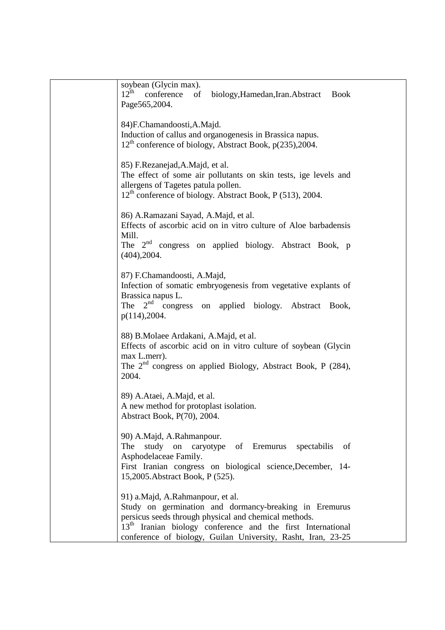| soybean (Glycin max).<br>$12^{th}$<br>conference<br>of<br>biology, Hamedan, Iran. Abstract<br><b>Book</b><br>Page565,2004.                                                                                                                                                                     |
|------------------------------------------------------------------------------------------------------------------------------------------------------------------------------------------------------------------------------------------------------------------------------------------------|
| 84)F.Chamandoosti,A.Majd.<br>Induction of callus and organogenesis in Brassica napus.<br>12 <sup>th</sup> conference of biology, Abstract Book, p(235), 2004.                                                                                                                                  |
| 85) F.Rezanejad, A.Majd, et al.<br>The effect of some air pollutants on skin tests, ige levels and<br>allergens of Tagetes patula pollen.<br>12 <sup>th</sup> conference of biology. Abstract Book, P (513), 2004.                                                                             |
| 86) A.Ramazani Sayad, A.Majd, et al.<br>Effects of ascorbic acid on in vitro culture of Aloe barbadensis<br>Mill.<br>The 2 <sup>nd</sup> congress on applied biology. Abstract Book, p<br>(404), 2004.                                                                                         |
| 87) F.Chamandoosti, A.Majd,<br>Infection of somatic embryogenesis from vegetative explants of<br>Brassica napus L.<br>The $2^{nd}$ congress<br>on applied biology. Abstract Book,<br>p(114), 2004.                                                                                             |
| 88) B.Molaee Ardakani, A.Majd, et al.<br>Effects of ascorbic acid on in vitro culture of soybean (Glycin<br>max L.merr).<br>The $2nd$ congress on applied Biology, Abstract Book, P (284),<br>2004.                                                                                            |
| 89) A.Ataei, A.Majd, et al.<br>A new method for protoplast isolation.<br>Abstract Book, P(70), 2004.                                                                                                                                                                                           |
| 90) A.Majd, A.Rahmanpour.<br>study on caryotype of Eremurus spectabilis<br>The<br>of<br>Asphodelaceae Family.<br>First Iranian congress on biological science, December, 14-<br>15,2005. Abstract Book, P (525).                                                                               |
| 91) a.Majd, A.Rahmanpour, et al.<br>Study on germination and dormancy-breaking in Eremurus<br>persicus seeds through physical and chemical methods.<br>13 <sup>th</sup> Iranian biology conference and the first International<br>conference of biology, Guilan University, Rasht, Iran, 23-25 |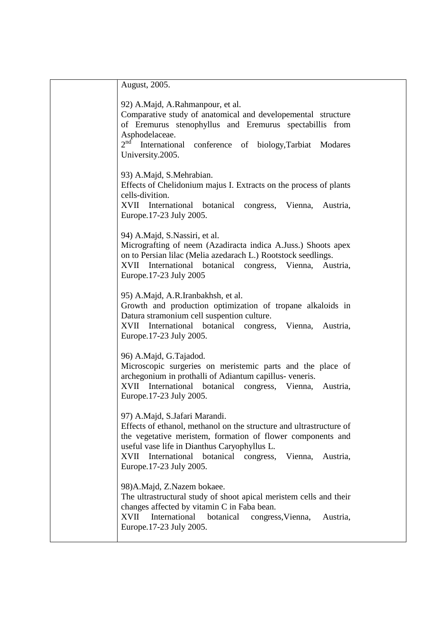| August, 2005.                                                                                                                                                                                                                                                                                                   |
|-----------------------------------------------------------------------------------------------------------------------------------------------------------------------------------------------------------------------------------------------------------------------------------------------------------------|
| 92) A.Majd, A.Rahmanpour, et al.<br>Comparative study of anatomical and developemental structure<br>of Eremurus stenophyllus and Eremurus spectabillis from<br>Asphodelaceae.<br>$2^{nd}$<br>International<br>conference of biology, Tarbiat Modares<br>University.2005.                                        |
| 93) A.Majd, S.Mehrabian.<br>Effects of Chelidonium majus I. Extracts on the process of plants<br>cells-divition.<br>XVII International botanical congress, Vienna,<br>Austria,<br>Europe.17-23 July 2005.                                                                                                       |
| 94) A.Majd, S.Nassiri, et al.<br>Micrografting of neem (Azadiracta indica A.Juss.) Shoots apex<br>on to Persian lilac (Melia azedarach L.) Rootstock seedlings.<br>XVII<br>International<br>botanical<br>congress,<br>Vienna,<br>Austria,<br>Europe.17-23 July 2005                                             |
| 95) A.Majd, A.R.Iranbakhsh, et al.<br>Growth and production optimization of tropane alkaloids in<br>Datura stramonium cell suspention culture.<br>XVII<br>International botanical congress, Vienna,<br>Austria,<br>Europe.17-23 July 2005.                                                                      |
| 96) A.Majd, G.Tajadod.<br>Microscopic surgeries on meristemic parts and the place of<br>archegonium in prothalli of Adiantum capillus-veneris.<br>XVII International botanical congress,<br>Vienna,<br>Austria,<br>Europe.17-23 July 2005.                                                                      |
| 97) A.Majd, S.Jafari Marandi.<br>Effects of ethanol, methanol on the structure and ultrastructure of<br>the vegetative meristem, formation of flower components and<br>useful vase life in Dianthus Caryophyllus L.<br>International botanical congress, Vienna,<br>XVII<br>Austria,<br>Europe.17-23 July 2005. |
| 98) A. Majd, Z. Nazem bokaee.<br>The ultrastructural study of shoot apical meristem cells and their<br>changes affected by vitamin C in Faba bean.<br>International<br>botanical<br>XVII<br>congress, Vienna,<br>Austria,<br>Europe.17-23 July 2005.                                                            |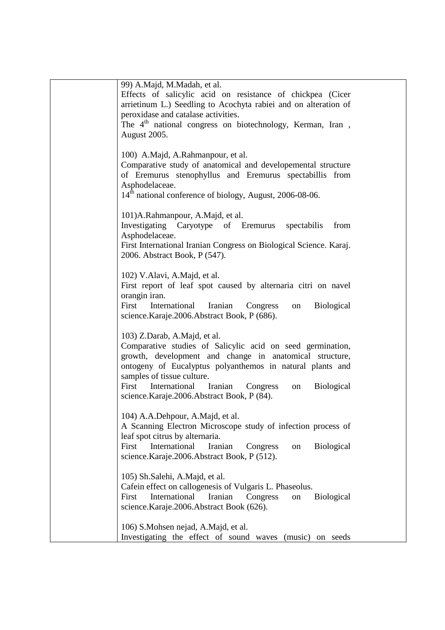| 99) A.Majd, M.Madah, et al.                                              |
|--------------------------------------------------------------------------|
| Effects of salicylic acid on resistance of chickpea (Cicer               |
| arrietinum L.) Seedling to Acochyta rabiei and on alteration of          |
| peroxidase and catalase activities.                                      |
| The 4 <sup>th</sup> national congress on biotechnology, Kerman, Iran,    |
| August 2005.                                                             |
|                                                                          |
| 100) A.Majd, A.Rahmanpour, et al.                                        |
| Comparative study of anatomical and developemental structure             |
| of Eremurus stenophyllus and Eremurus spectabillis from                  |
| Asphodelaceae.                                                           |
| 14 <sup>th</sup> national conference of biology, August, 2006-08-06.     |
|                                                                          |
| 101) A.Rahmanpour, A.Majd, et al.                                        |
| Investigating Caryotype of Eremurus spectabilis<br>from                  |
| Asphodelaceae.                                                           |
| First International Iranian Congress on Biological Science. Karaj.       |
| 2006. Abstract Book, P (547).                                            |
|                                                                          |
| 102) V.Alavi, A.Majd, et al.                                             |
| First report of leaf spot caused by alternaria citri on navel            |
| orangin iran.                                                            |
| First<br>International Iranian Congress<br><b>Biological</b><br>on       |
| science.Karaje.2006.Abstract Book, P (686).                              |
| 103) Z.Darab, A.Majd, et al.                                             |
| Comparative studies of Salicylic acid on seed germination,               |
| growth, development and change in anatomical structure,                  |
| ontogeny of Eucalyptus polyanthemos in natural plants and                |
| samples of tissue culture.                                               |
| First International Iranian<br><b>Biological</b><br>Congress<br>on       |
| science.Karaje.2006.Abstract Book, P (84).                               |
|                                                                          |
| 104) A.A.Dehpour, A.Majd, et al.                                         |
| A Scanning Electron Microscope study of infection process of             |
| leaf spot citrus by alternaria.                                          |
| First<br>International<br>Iranian<br><b>Biological</b><br>Congress<br>on |
| science.Karaje.2006.Abstract Book, P (512).                              |
|                                                                          |
| 105) Sh.Salehi, A.Majd, et al.                                           |
| Cafein effect on callogenesis of Vulgaris L. Phaseolus.                  |
| International<br>Iranian<br>First<br>Biological<br>Congress<br>on        |
| science.Karaje.2006.Abstract Book (626).                                 |
|                                                                          |
| 106) S.Mohsen nejad, A.Majd, et al.                                      |
| Investigating the effect of sound waves<br>(music) on seeds              |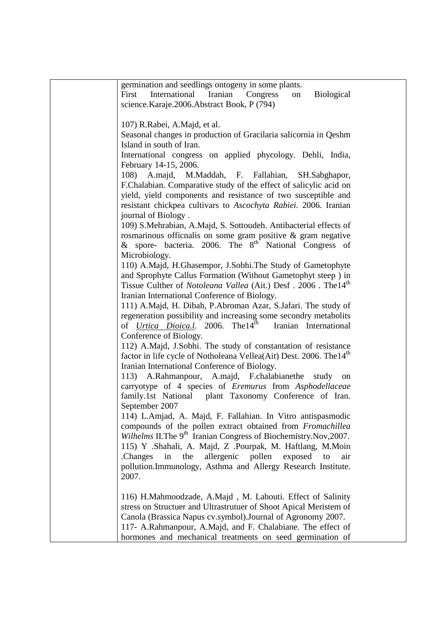| germination and seedlings ontogeny in some plants.                              |
|---------------------------------------------------------------------------------|
| International<br>Iranian<br>Congress<br><b>Biological</b><br>First<br>on        |
| science.Karaje.2006.Abstract Book, P (794)                                      |
|                                                                                 |
| 107) R.Rabei, A.Majd, et al.                                                    |
| Seasonal changes in production of Gracilaria salicornia in Qeshm                |
| Island in south of Iran.                                                        |
| International congress on applied phycology. Dehli, India,                      |
| February 14-15, 2006.                                                           |
| 108) A.majd, M.Maddah, F. Fallahian, SH.Sabghapor,                              |
| F.Chalabian. Comparative study of the effect of salicylic acid on               |
| yield, yield components and resistance of two susceptible and                   |
| resistant chickpea cultivars to Ascochyta Rabiei. 2006. Iranian                 |
| journal of Biology.                                                             |
| 109) S.Mehrabian, A.Majd, S. Sottoudeh. Antibacterial effects of                |
| rosmarinous officnalis on some gram positive & gram negative                    |
| & spore- bacteria. 2006. The 8 <sup>th</sup> National Congress of               |
| Microbiology.                                                                   |
|                                                                                 |
| 110) A.Majd, H.Ghasempor, J.Sobhi.The Study of Gametophyte                      |
| and Sprophyte Callus Formation (Without Gametophyt steep) in                    |
| Tissue Culther of Notoleana Vallea (Ait.) Desf. 2006. The 14 <sup>th</sup>      |
| Iranian International Conference of Biology.                                    |
| 111) A.Majd, H. Dibah, P.Abroman Azar, S.Jafari. The study of                   |
| regeneration possibility and increasing some secondry metabolits                |
| of <i>Urtica Dioica.l.</i> 2006. The 14 <sup>th</sup><br>Iranian International  |
| Conference of Biology.                                                          |
| 112) A.Majd, J.Sobhi. The study of constantation of resistance                  |
| factor in life cycle of Notholeana Vellea(Ait) Dest. 2006. The 14 <sup>th</sup> |
| Iranian International Conference of Biology.                                    |
| A.Rahmanpour, A.majd, F.chalabianethe<br>113)<br>study<br>on                    |
| carryotype of 4 species of <i>Eremurus</i> from <i>Asphodellaceae</i>           |
| family.1st National plant Taxonomy Conference of Iran.                          |
| September 2007                                                                  |
| 114) L.Amjad, A. Majd, F. Fallahian. In Vitro antispasmodic                     |
| compounds of the pollen extract obtained from Fromachillea                      |
| Wilhelms II. The 9 <sup>th</sup> Iranian Congress of Biochemistry. Nov, 2007.   |
| 115) Y .Shahali, A. Majd, Z .Pourpak, M. Haftlang, M.Moin                       |
| pollen<br>.Changes<br>allergenic<br>in<br>the<br>exposed<br>to<br>air           |
| pollution.Immunology, Asthma and Allergy Research Institute.                    |
| 2007.                                                                           |
|                                                                                 |
| 116) H.Mahmoodzade, A.Majd, M. Lahouti. Effect of Salinity                      |
| stress on Structuer and Ultrastrutuer of Shoot Apical Meristem of               |
| Canola (Brassica Napus cv.symbol). Journal of Agronomy 2007.                    |
| 117- A.Rahmanpour, A.Majd, and F. Chalabiane. The effect of                     |
| hormones and mechanical treatments on seed germination of                       |
|                                                                                 |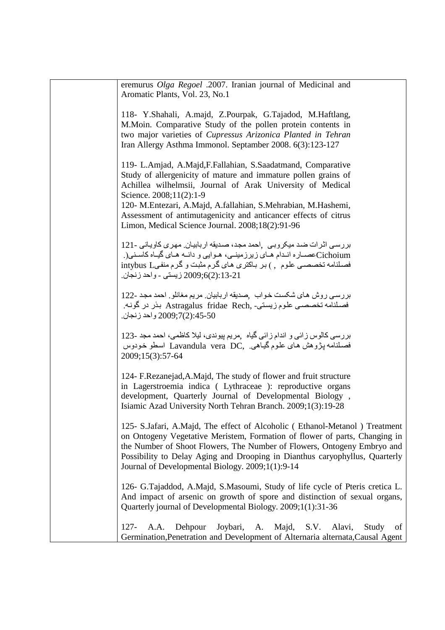| eremurus Olga Regoel .2007. Iranian journal of Medicinal and<br>Aromatic Plants, Vol. 23, No.1                                                                                                                                                                                                                                                                                                                  |
|-----------------------------------------------------------------------------------------------------------------------------------------------------------------------------------------------------------------------------------------------------------------------------------------------------------------------------------------------------------------------------------------------------------------|
| 118- Y.Shahali, A.majd, Z.Pourpak, G.Tajadod, M.Haftlang,<br>M.Moin. Comparative Study of the pollen protein contents in<br>two major varieties of Cupressus Arizonica Planted in Tehran<br>Iran Allergy Asthma Immonol. Septamber 2008. 6(3):123-127                                                                                                                                                           |
| 119- L.Amjad, A.Majd, F.Fallahian, S.Saadatmand, Comparative<br>Study of allergenicity of mature and immature pollen grains of<br>Achillea wilhelmsii, Journal of Arak University of Medical<br>Science. 2008;11(2):1-9<br>120- M.Entezari, A.Majd, A.fallahian, S.Mehrabian, M.Hashemi,<br>Assessment of antimutagenicity and anticancer effects of citrus<br>Limon, Medical Science Journal. 2008;18(2):91-96 |
| بررسی اثرات ضد میکروبی ,احمد مجد، صدیقه اربابیان ِ مهری کاویانی -121<br>Cichoiumکصماره انـدام هـاي زيرزمينــي، هـوايي و دانــه هـاي گيــاه کاسـني(<br>فصلنامه تخصصي علوم , ) بر باكترى هاى گرم مثبت و گرم منفىl intybus L<br>2009;6(2):13-21 زيستي - واحد زنجان.                                                                                                                                                |
| بررسي روش هاي شكست خواب ٬صديقه اربابيان. مريم مغانلو. احمد مجد -122<br>فصلنامه تخصصي علوم زيستي- ,Astragalus  fridae  Rech بذر در گونه<br>2009;7(2):45-50 واحد زنجان.                                                                                                                                                                                                                                           |
| بررسی کالوس زائی و اندام زائی گیاه  ¸مریم پیوندی، لیلا کاظمی، احمد مجد -123<br>فصلنامه پژوهش های علوم گیاهی ,Lavandula vera DC اسطو خودوس<br>2009;15(3):57-64                                                                                                                                                                                                                                                   |
| 124- F.Rezanejad, A.Majd, The study of flower and fruit structure<br>in Lagerstroemia indica (Lythraceae): reproductive organs<br>development, Quarterly Journal of Developmental Biology,<br>Isiamic Azad University North Tehran Branch. 2009;1(3):19-28                                                                                                                                                      |
| 125- S.Jafari, A.Majd, The effect of Alcoholic (Ethanol-Metanol) Treatment<br>on Ontogeny Vegetative Meristem, Formation of flower of parts, Changing in<br>the Number of Shoot Flowers, The Number of Flowers, Ontogeny Embryo and<br>Possibility to Delay Aging and Drooping in Dianthus caryophyllus, Quarterly<br>Journal of Developmental Biology. 2009;1(1):9-14                                          |
| 126- G.Tajaddod, A.Majd, S.Masoumi, Study of life cycle of Pteris cretica L.<br>And impact of arsenic on growth of spore and distinction of sexual organs,<br>Quarterly journal of Developmental Biology. 2009;1(1):31-36                                                                                                                                                                                       |
| $127 -$<br>Dehpour<br>Joybari,<br>Alavi,<br>A.A.<br>A. Majd,<br>S.V.<br>Study<br>of<br>Germination, Penetration and Development of Alternaria alternata, Causal Agent                                                                                                                                                                                                                                           |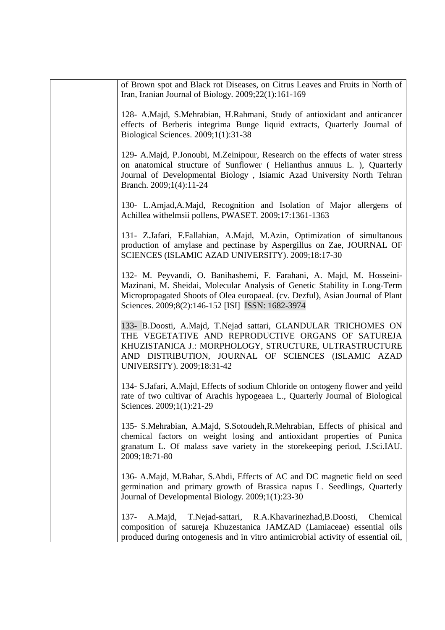| of Brown spot and Black rot Diseases, on Citrus Leaves and Fruits in North of<br>Iran, Iranian Journal of Biology. $2009;22(1):161-169$                                                                                                                                                   |
|-------------------------------------------------------------------------------------------------------------------------------------------------------------------------------------------------------------------------------------------------------------------------------------------|
| 128- A.Majd, S.Mehrabian, H.Rahmani, Study of antioxidant and anticancer<br>effects of Berberis integrima Bunge liquid extracts, Quarterly Journal of<br>Biological Sciences. 2009;1(1):31-38                                                                                             |
| 129- A.Majd, P.Jonoubi, M.Zeinipour, Research on the effects of water stress<br>on anatomical structure of Sunflower (Helianthus annuus L.), Quarterly<br>Journal of Developmental Biology, Isiamic Azad University North Tehran<br>Branch. 2009;1(4):11-24                               |
| 130- L.Amjad, A.Majd, Recognition and Isolation of Major allergens of<br>Achillea withelmsii pollens, PWASET. 2009;17:1361-1363                                                                                                                                                           |
| 131- Z.Jafari, F.Fallahian, A.Majd, M.Azin, Optimization of simultanous<br>production of amylase and pectinase by Aspergillus on Zae, JOURNAL OF<br>SCIENCES (ISLAMIC AZAD UNIVERSITY). 2009;18:17-30                                                                                     |
| 132- M. Peyvandi, O. Banihashemi, F. Farahani, A. Majd, M. Hosseini-<br>Mazinani, M. Sheidai, Molecular Analysis of Genetic Stability in Long-Term<br>Micropropagated Shoots of Olea europaeal. (cv. Dezful), Asian Journal of Plant<br>Sciences. 2009;8(2):146-152 [ISI] ISSN: 1682-3974 |
| 133- B.Doosti, A.Majd, T.Nejad sattari, GLANDULAR TRICHOMES ON<br>THE VEGETATIVE AND REPRODUCTIVE ORGANS OF SATUREJA<br>KHUZISTANICA J.: MORPHOLOGY, STRUCTURE, ULTRASTRUCTURE<br>AND DISTRIBUTION, JOURNAL OF SCIENCES (ISLAMIC AZAD<br>UNIVERSITY). 2009;18:31-42                       |
| 134- S.Jafari, A.Majd, Effects of sodium Chloride on ontogeny flower and yeild<br>rate of two cultivar of Arachis hypogeaea L., Quarterly Journal of Biological<br>Sciences. 2009;1(1):21-29                                                                                              |
| 135- S.Mehrabian, A.Majd, S.Sotoudeh, R.Mehrabian, Effects of phisical and<br>chemical factors on weight losing and antioxidant properties of Punica<br>granatum L. Of malass save variety in the storekeeping period, J.Sci.IAU.<br>2009;18:71-80                                        |
| 136- A.Majd, M.Bahar, S.Abdi, Effects of AC and DC magnetic field on seed<br>germination and primary growth of Brassica napus L. Seedlings, Quarterly<br>Journal of Developmental Biology. 2009;1(1):23-30                                                                                |
| $137 -$<br>A.Majd,<br>T.Nejad-sattari, R.A.Khavarinezhad, B.Doosti,<br>Chemical<br>composition of satureja Khuzestanica JAMZAD (Lamiaceae) essential oils<br>produced during ontogenesis and in vitro antimicrobial activity of essential oil,                                            |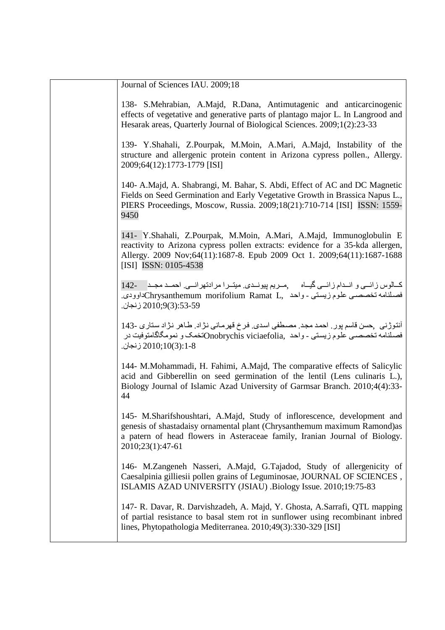| Journal of Sciences IAU. 2009;18                                                                                                                                                                                                                          |
|-----------------------------------------------------------------------------------------------------------------------------------------------------------------------------------------------------------------------------------------------------------|
| 138- S.Mehrabian, A.Majd, R.Dana, Antimutagenic and anticarcinogenic<br>effects of vegetative and generative parts of plantago major L. In Langrood and<br>Hesarak areas, Quarterly Journal of Biological Sciences. 2009;1(2):23-33                       |
| 139- Y.Shahali, Z.Pourpak, M.Moin, A.Mari, A.Majd, Instability of the<br>structure and allergenic protein content in Arizona cypress pollen., Allergy.<br>2009;64(12):1773-1779 [ISI]                                                                     |
| 140- A.Majd, A. Shabrangi, M. Bahar, S. Abdi, Effect of AC and DC Magnetic<br>Fields on Seed Germination and Early Vegetative Growth in Brassica Napus L.,<br>PIERS Proceedings, Moscow, Russia. 2009;18(21):710-714 [ISI] ISSN: 1559-<br>9450            |
| 141- Y.Shahali, Z.Pourpak, M.Moin, A.Mari, A.Majd, Immunoglobulin E<br>reactivity to Arizona cypress pollen extracts: evidence for a 35-kda allergen,<br>Allergy. 2009 Nov;64(11):1687-8. Epub 2009 Oct 1. 2009;64(11):1687-1688<br>[ISI] ISSN: 0105-4538 |
| كـالوس زائــي و انــدام زائــي گيــاه مــريم پيونــدي ميتــرا مرادتهرانــي احمــد مجــد 142-<br>فصلنامه تخصصيي علوم زيستي - واحد   ,Chrysanthemum  morifolium  Ramat  Lـــــــــــــــــــــــــــــ<br>53-59:(3)9(3):53-59 زنجان                         |
| آنتوڑنی   حسن قاسم پور   احمد مجد  مصطفی اسدی  فرخ قهرمـانی نژاد  طـاهر  نژاد ستاری -143<br>فصلنامه تخصصيي علوم زيستي - واحد  Onobrychis viciaefolia, علومگاگامتوفيت در<br>2010;10(3):1-8 زنجان.                                                          |
| 144- M.Mohammadi, H. Fahimi, A.Majd, The comparative effects of Salicylic<br>acid and Gibberellin on seed germination of the lentil (Lens culinaris L.),<br>Biology Journal of Islamic Azad University of Garmsar Branch. 2010;4(4):33-<br>44             |
| 145- M.Sharifshoushtari, A.Majd, Study of inflorescence, development and<br>genesis of shastadaisy ornamental plant (Chrysanthemum maximum Ramond)as<br>a patern of head flowers in Asteraceae family, Iranian Journal of Biology.<br>2010;23(1):47-61    |
| 146- M.Zangeneh Nasseri, A.Majd, G.Tajadod, Study of allergenicity of<br>Caesalpinia gilliesii pollen grains of Leguminosae, JOURNAL OF SCIENCES,<br>ISLAMIS AZAD UNIVERSITY (JSIAU) .Biology Issue. 2010;19:75-83                                        |
| 147- R. Davar, R. Darvishzadeh, A. Majd, Y. Ghosta, A.Sarrafi, QTL mapping<br>of partial resistance to basal stem rot in sunflower using recombinant inbred<br>lines, Phytopathologia Mediterranea. 2010;49(3):330-329 [ISI]                              |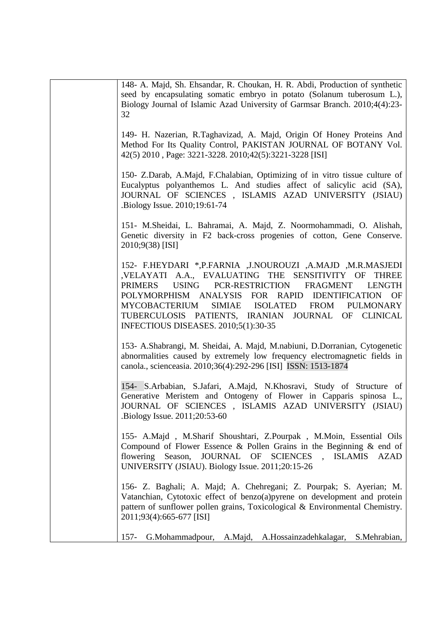| 148- A. Majd, Sh. Ehsandar, R. Choukan, H. R. Abdi, Production of synthetic<br>seed by encapsulating somatic embryo in potato (Solanum tuberosum L.),<br>Biology Journal of Islamic Azad University of Garmsar Branch. 2010;4(4):23-<br>32                                                                                                                                                                                                                            |
|-----------------------------------------------------------------------------------------------------------------------------------------------------------------------------------------------------------------------------------------------------------------------------------------------------------------------------------------------------------------------------------------------------------------------------------------------------------------------|
| 149- H. Nazerian, R.Taghavizad, A. Majd, Origin Of Honey Proteins And<br>Method For Its Quality Control, PAKISTAN JOURNAL OF BOTANY Vol.<br>42(5) 2010, Page: 3221-3228. 2010;42(5):3221-3228 [ISI]                                                                                                                                                                                                                                                                   |
| 150- Z.Darab, A.Majd, F.Chalabian, Optimizing of in vitro tissue culture of<br>Eucalyptus polyanthemos L. And studies affect of salicylic acid (SA),<br>JOURNAL OF SCIENCES, ISLAMIS AZAD UNIVERSITY (JSIAU)<br>Biology Issue. 2010;19:61-74                                                                                                                                                                                                                          |
| 151- M.Sheidai, L. Bahramai, A. Majd, Z. Noormohammadi, O. Alishah,<br>Genetic diversity in F2 back-cross progenies of cotton, Gene Conserve.<br>2010;9(38) [ISI]                                                                                                                                                                                                                                                                                                     |
| 152- F.HEYDARI *, P.FARNIA , J.NOUROUZI , A.MAJD , M.R.MASJEDI<br>,VELAYATI A.A., EVALUATING THE SENSITIVITY OF<br><b>THREE</b><br><b>USING</b><br>PCR-RESTRICTION<br><b>PRIMERS</b><br><b>FRAGMENT</b><br><b>LENGTH</b><br>POLYMORPHISM ANALYSIS<br>FOR RAPID<br><b>IDENTIFICATION</b><br>OF<br>MYCOBACTERIUM<br>SIMIAE ISOLATED<br><b>FROM</b><br><b>PULMONARY</b><br>TUBERCULOSIS PATIENTS, IRANIAN<br>JOURNAL OF CLINICAL<br>INFECTIOUS DISEASES. 2010;5(1):30-35 |
| 153- A.Shabrangi, M. Sheidai, A. Majd, M.nabiuni, D.Dorranian, Cytogenetic<br>abnormalities caused by extremely low frequency electromagnetic fields in<br>canola., scienceasia. 2010;36(4):292-296 [ISI] ISSN: 1513-1874                                                                                                                                                                                                                                             |
| 154- S.Arbabian, S.Jafari, A.Majd, N.Khosravi, Study of Structure of<br>Generative Meristem and Ontogeny of Flower in Capparis spinosa L.,<br>JOURNAL OF SCIENCES, ISLAMIS AZAD UNIVERSITY (JSIAU)<br>Biology Issue. 2011;20:53-60.                                                                                                                                                                                                                                   |
| 155- A.Majd, M.Sharif Shoushtari, Z.Pourpak, M.Moin, Essential Oils<br>Compound of Flower Essence & Pollen Grains in the Beginning $\&$ end of<br>flowering<br>Season, JOURNAL OF SCIENCES, ISLAMIS<br><b>AZAD</b><br>UNIVERSITY (JSIAU). Biology Issue. 2011;20:15-26                                                                                                                                                                                                |
| 156- Z. Baghali; A. Majd; A. Chehregani; Z. Pourpak; S. Ayerian; M.<br>Vatanchian, Cytotoxic effect of benzo(a)pyrene on development and protein<br>pattern of sunflower pollen grains, Toxicological & Environmental Chemistry.<br>2011;93(4):665-677 [ISI]                                                                                                                                                                                                          |
| $157 -$<br>A.Hossainzadehkalagar,<br>S.Mehrabian,<br>G.Mohammadpour,<br>A.Majd,                                                                                                                                                                                                                                                                                                                                                                                       |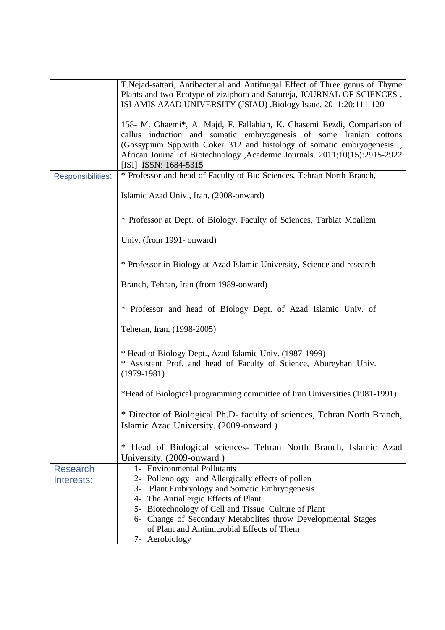|                          | T. Nejad-sattari, Antibacterial and Antifungal Effect of Three genus of Thyme |  |  |
|--------------------------|-------------------------------------------------------------------------------|--|--|
|                          | Plants and two Ecotype of ziziphora and Satureja, JOURNAL OF SCIENCES,        |  |  |
|                          | ISLAMIS AZAD UNIVERSITY (JSIAU) .Biology Issue. 2011;20:111-120               |  |  |
|                          |                                                                               |  |  |
|                          | 158- M. Ghaemi*, A. Majd, F. Fallahian, K. Ghasemi Bezdi, Comparison of       |  |  |
|                          | callus induction and somatic embryogenesis of some Iranian cottons            |  |  |
|                          | (Gossypium Spp.with Coker 312 and histology of somatic embryogenesis          |  |  |
|                          | African Journal of Biotechnology , Academic Journals. 2011;10(15):2915-2922   |  |  |
|                          | [ISI] ISSN: 1684-5315                                                         |  |  |
| <b>Responsibilities:</b> | * Professor and head of Faculty of Bio Sciences, Tehran North Branch,         |  |  |
|                          |                                                                               |  |  |
|                          | Islamic Azad Univ., Iran, (2008-onward)                                       |  |  |
|                          |                                                                               |  |  |
|                          | * Professor at Dept. of Biology, Faculty of Sciences, Tarbiat Moallem         |  |  |
|                          |                                                                               |  |  |
|                          | Univ. (from 1991- onward)                                                     |  |  |
|                          |                                                                               |  |  |
|                          | * Professor in Biology at Azad Islamic University, Science and research       |  |  |
|                          |                                                                               |  |  |
|                          | Branch, Tehran, Iran (from 1989-onward)                                       |  |  |
|                          |                                                                               |  |  |
|                          | * Professor and head of Biology Dept. of Azad Islamic Univ. of                |  |  |
|                          |                                                                               |  |  |
|                          | Teheran, Iran, (1998-2005)                                                    |  |  |
|                          |                                                                               |  |  |
|                          | * Head of Biology Dept., Azad Islamic Univ. (1987-1999)                       |  |  |
|                          | * Assistant Prof. and head of Faculty of Science, Abureyhan Univ.             |  |  |
|                          | $(1979-1981)$                                                                 |  |  |
|                          |                                                                               |  |  |
|                          | *Head of Biological programming committee of Iran Universities (1981-1991)    |  |  |
|                          |                                                                               |  |  |
|                          | * Director of Biological Ph.D- faculty of sciences, Tehran North Branch,      |  |  |
|                          | Islamic Azad University. (2009-onward)                                        |  |  |
|                          |                                                                               |  |  |
|                          | * Head of Biological sciences- Tehran North Branch, Islamic Azad              |  |  |
|                          | University. (2009-onward)                                                     |  |  |
| <b>Research</b>          | 1- Environmental Pollutants                                                   |  |  |
| Interests:               | 2- Pollenology and Allergically effects of pollen                             |  |  |
|                          | $3-$<br><b>Plant Embryology and Somatic Embryogenesis</b>                     |  |  |
|                          | The Antiallergic Effects of Plant<br>4-                                       |  |  |
|                          | 5- Biotechnology of Cell and Tissue Culture of Plant                          |  |  |
|                          | 6- Change of Secondary Metabolites throw Developmental Stages                 |  |  |
|                          | of Plant and Antimicrobial Effects of Them                                    |  |  |
|                          | 7- Aerobiology                                                                |  |  |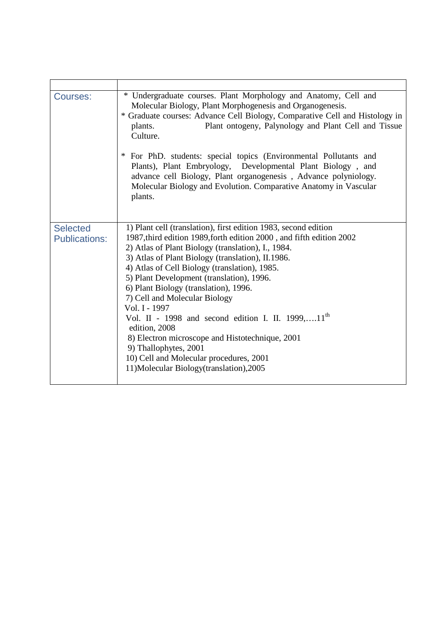| Courses:                                | * Undergraduate courses. Plant Morphology and Anatomy, Cell and<br>Molecular Biology, Plant Morphogenesis and Organogenesis.<br>* Graduate courses: Advance Cell Biology, Comparative Cell and Histology in<br>Plant ontogeny, Palynology and Plant Cell and Tissue<br>plants.<br>Culture.                                                                                                                                                                                                                                                                                                                                                                                                      |  |  |  |
|-----------------------------------------|-------------------------------------------------------------------------------------------------------------------------------------------------------------------------------------------------------------------------------------------------------------------------------------------------------------------------------------------------------------------------------------------------------------------------------------------------------------------------------------------------------------------------------------------------------------------------------------------------------------------------------------------------------------------------------------------------|--|--|--|
|                                         | For PhD. students: special topics (Environmental Pollutants and<br>Plants), Plant Embryology, Developmental Plant Biology, and<br>advance cell Biology, Plant organogenesis, Advance polyniology.<br>Molecular Biology and Evolution. Comparative Anatomy in Vascular<br>plants.                                                                                                                                                                                                                                                                                                                                                                                                                |  |  |  |
| <b>Selected</b><br><b>Publications:</b> | 1) Plant cell (translation), first edition 1983, second edition<br>1987, third edition 1989, forth edition 2000, and fifth edition 2002<br>2) Atlas of Plant Biology (translation), I., 1984.<br>3) Atlas of Plant Biology (translation), II.1986.<br>4) Atlas of Cell Biology (translation), 1985.<br>5) Plant Development (translation), 1996.<br>6) Plant Biology (translation), 1996.<br>7) Cell and Molecular Biology<br>Vol. I - 1997<br>Vol. II - 1998 and second edition I. II. 1999,11 <sup>th</sup><br>edition, 2008<br>8) Electron microscope and Histotechnique, 2001<br>9) Thallophytes, 2001<br>10) Cell and Molecular procedures, 2001<br>11)Molecular Biology(translation),2005 |  |  |  |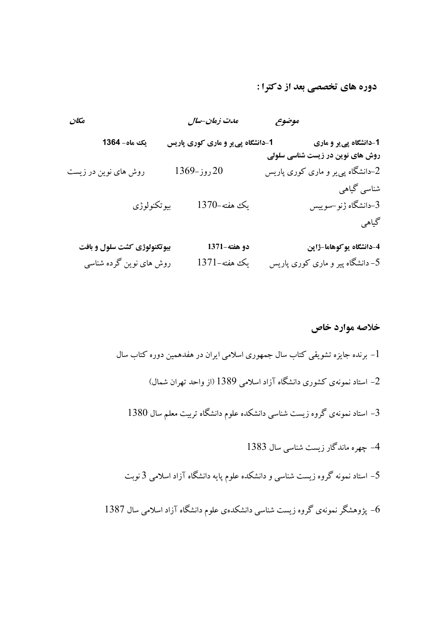دوره هاي تخصصي بعد از دكترا :

|                                                            | موضوح | ەدت زەان-سال                      |             | مكان                        |
|------------------------------------------------------------|-------|-----------------------------------|-------------|-----------------------------|
| 1-دانشگاه پي ير و ماري<br>روش های نوین در زیست شناسی سلولی |       | 1-دانشگاه پی یر و ماری کوری پاریس |             | یک ماہ – 1364               |
| 2–دانشگاه پی پر و ماری کوری پاریس                          |       | $1369$ روز-1369                   |             | روش های نوین در زیست        |
| شناسی گیاهی<br>3–دانشگاه ژنو–سوییس                         |       | يك هفته-1370                      | بيوتكنولوژى |                             |
| گیاهی                                                      |       |                                   |             |                             |
| 4-دانشگاه يو کوهاما-ژاپن                                   |       | دو هفته-1371                      |             | بیوتکنولوژی کشت سلول و بافت |

5 - دانشگاه پير و ماري كوري پاريس يك هفته1371- روش هاي نوين گرده شناسي

## خلاصه موارد خاص

- -برنده جايزه تشويقي كتاب سال جمهوري اسلامي ايران در هفدهمين دوره كتاب سال  $-1$ -2 استاد نمونهي كشوري دانشگاه آزاد اسلامي 1389 ( از واحد تهران شمال )
	- -3 استاد نمونه ي گروه زيست شناسي دانشكده علوم دانشگاه تربيت معلم سال 1380
		- -4 چهره ماندگار زيست شناسي سال 1383
	- -5 استاد نمونه گروه زيست شناسي و دانشكده علوم پايه دانشگاه آزاد اسلامي 3 نوبت
- -6 پژوهشگر نمونهي گروه زيست شناسي دانشكدهي علوم دانشگاه آزاد اسلامي سال 1387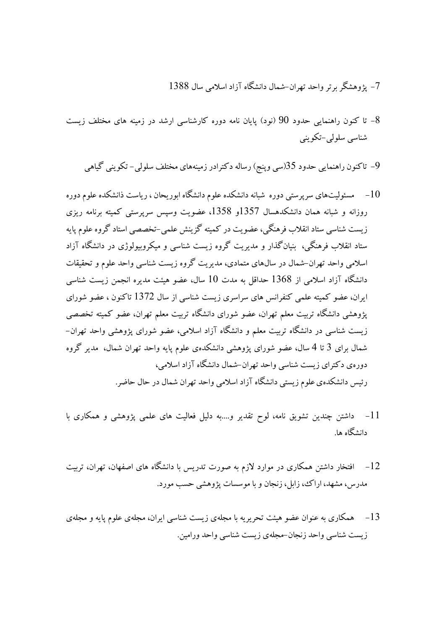## -7 پژوهشگر برتر واحد تهران- شمال دانشگاه آزاد اسلامي سال 1388

- -8 تا كنون راهنمايي حدود 90 ( نود) پايان نامه دوره كارشناسي ارشد در زمينه هاي مختلف زيست شناسي سلولي-تكويني
	- -9 تاكنون راهنمايي حدود 35( سي وپنج) رساله دكترادر زمينههاي مختلف سلولي تكويني گياهي
- -10 مسئوليتهاي سرپرستي دوره شبانه دانشكده علوم دانشگاه ابوريحان ، رياست ذانشكده علوم دوره روزانه و شبانه همان دانشكدهسال 1357و 1358، عضويت وسپس سرپرستي كميته برنامه ريزي زيست شناسي ستاد انقلاب فرهنگي، عضويت در كميته گزينش علمي-تخصصي استاد گروه علوم پايه ستاد انقلاب فرهنگي، بنيانگذار و مديريت گروه زيست شناسي و ميكروبيولوژي در دانشگاه آزاد اسلامي واحد تهران-شمال در سالهاي متمادي، مديريت گروه زيست شناسي واحد علوم و تحقيقات دانشگاه آزاد اسلامي از 1368 حداقل به مدت 10 سال، عضو هيئت مديره انجمن زيست شناسي ايران، عضو كميته علمي كنفرانس هاي سراسري زيست شناسي از سال 1372 تاكنون ، عضو شوراي پژوهشي دانشگاه تربيت معلم تهران، عضو شوراي دانشگاه تربيت معلم تهران، عضو كميته تخصصي زيست شناسي در دانشگاه تربيت معلم و دانشگاه آزاد اسلامي، عضو شوراي پژوهشي واحد تهران- شمال براي 3 تا 4 سال، عضو شوراي پژوهشي دانشكدهي علوم پايه واحد تهران شمال، مدير گروه دورهي دكتراي زيست شناسي واحد تهران-شمال دانشگاه آزاد اسلامي، رئيس دانشكدهي علوم زيستي دانشگاه آزاد اسلامي واحد تهران شمال در حال حاضر.
- -11 داشتن چندين تشويق نامه، لوح تقدير و....به دليل فعاليت هاي علمي پژوهشي و همكاري با دانشگاه ها.
- -12 افتخار داشتن همكاري در موارد لازم به صورت تدريس با دانشگاه هاي اصفهان، تهران، تربيت مدرس، مشهد، اراك، زابل، زنجان و با موسسات پژوهشي حسب مورد.
- -13 همكاري به عنوان عضو هيئت تحريريه با مجله ي زيست شناسي ايران، مجله ي علوم پايه و مجلهي زيست شناسي واحد زنجان-مجلهي زيست شناسي واحد ورامين.